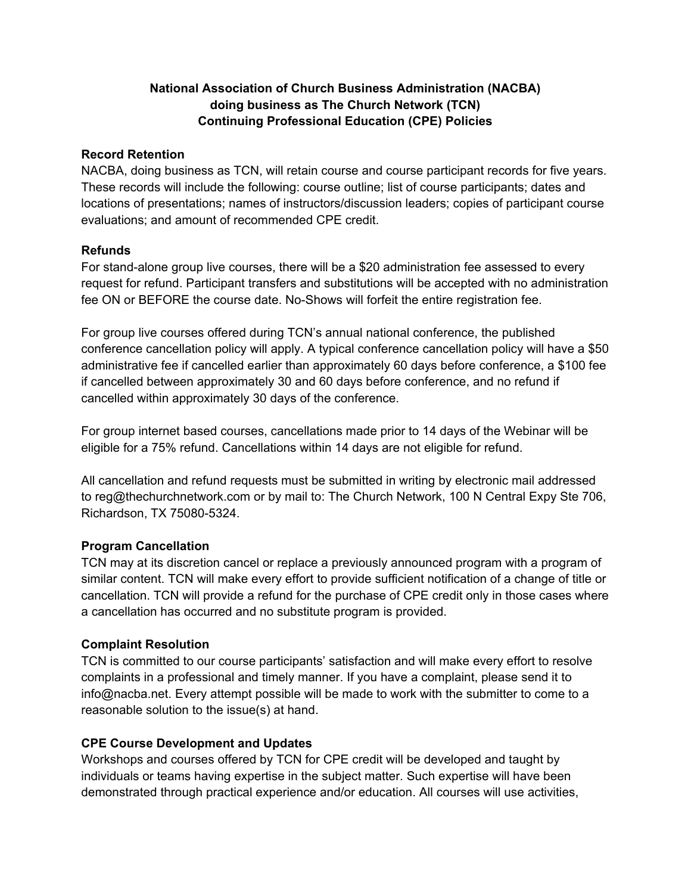# **National Association of Church Business Administration (NACBA) doing business as The Church Network (TCN) Continuing Professional Education (CPE) Policies**

#### **Record Retention**

NACBA, doing business as TCN, will retain course and course participant records for five years. These records will include the following: course outline; list of course participants; dates and locations of presentations; names of instructors/discussion leaders; copies of participant course evaluations; and amount of recommended CPE credit.

#### **Refunds**

For stand-alone group live courses, there will be a \$20 administration fee assessed to every request for refund. Participant transfers and substitutions will be accepted with no administration fee ON or BEFORE the course date. No-Shows will forfeit the entire registration fee.

For group live courses offered during TCN's annual national conference, the published conference cancellation policy will apply. A typical conference cancellation policy will have a \$50 administrative fee if cancelled earlier than approximately 60 days before conference, a \$100 fee if cancelled between approximately 30 and 60 days before conference, and no refund if cancelled within approximately 30 days of the conference.

For group internet based courses, cancellations made prior to 14 days of the Webinar will be eligible for a 75% refund. Cancellations within 14 days are not eligible for refund.

All cancellation and refund requests must be submitted in writing by electronic mail addressed to reg@thechurchnetwork.com or by mail to: The Church Network, 100 N Central Expy Ste 706, Richardson, TX 75080-5324.

# **Program Cancellation**

TCN may at its discretion cancel or replace a previously announced program with a program of similar content. TCN will make every effort to provide sufficient notification of a change of title or cancellation. TCN will provide a refund for the purchase of CPE credit only in those cases where a cancellation has occurred and no substitute program is provided.

# **Complaint Resolution**

TCN is committed to our course participants' satisfaction and will make every effort to resolve complaints in a professional and timely manner. If you have a complaint, please send it to info@nacba.net. Every attempt possible will be made to work with the submitter to come to a reasonable solution to the issue(s) at hand.

# **CPE Course Development and Updates**

Workshops and courses offered by TCN for CPE credit will be developed and taught by individuals or teams having expertise in the subject matter. Such expertise will have been demonstrated through practical experience and/or education. All courses will use activities,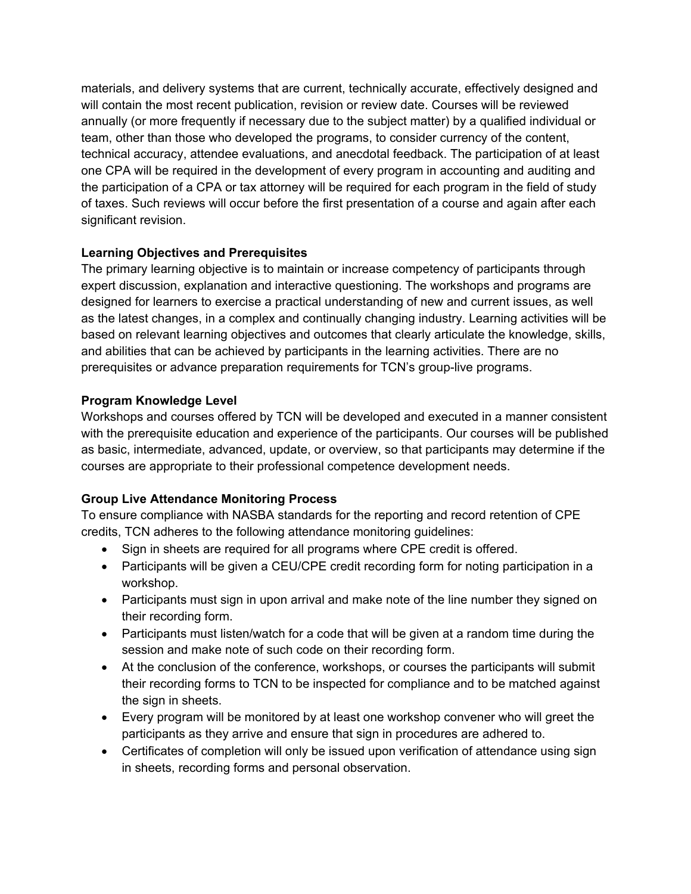materials, and delivery systems that are current, technically accurate, effectively designed and will contain the most recent publication, revision or review date. Courses will be reviewed annually (or more frequently if necessary due to the subject matter) by a qualified individual or team, other than those who developed the programs, to consider currency of the content, technical accuracy, attendee evaluations, and anecdotal feedback. The participation of at least one CPA will be required in the development of every program in accounting and auditing and the participation of a CPA or tax attorney will be required for each program in the field of study of taxes. Such reviews will occur before the first presentation of a course and again after each significant revision.

# **Learning Objectives and Prerequisites**

The primary learning objective is to maintain or increase competency of participants through expert discussion, explanation and interactive questioning. The workshops and programs are designed for learners to exercise a practical understanding of new and current issues, as well as the latest changes, in a complex and continually changing industry. Learning activities will be based on relevant learning objectives and outcomes that clearly articulate the knowledge, skills, and abilities that can be achieved by participants in the learning activities. There are no prerequisites or advance preparation requirements for TCN's group-live programs.

#### **Program Knowledge Level**

Workshops and courses offered by TCN will be developed and executed in a manner consistent with the prerequisite education and experience of the participants. Our courses will be published as basic, intermediate, advanced, update, or overview, so that participants may determine if the courses are appropriate to their professional competence development needs.

# **Group Live Attendance Monitoring Process**

To ensure compliance with NASBA standards for the reporting and record retention of CPE credits, TCN adheres to the following attendance monitoring guidelines:

- Sign in sheets are required for all programs where CPE credit is offered.
- Participants will be given a CEU/CPE credit recording form for noting participation in a workshop.
- Participants must sign in upon arrival and make note of the line number they signed on their recording form.
- Participants must listen/watch for a code that will be given at a random time during the session and make note of such code on their recording form.
- At the conclusion of the conference, workshops, or courses the participants will submit their recording forms to TCN to be inspected for compliance and to be matched against the sign in sheets.
- Every program will be monitored by at least one workshop convener who will greet the participants as they arrive and ensure that sign in procedures are adhered to.
- Certificates of completion will only be issued upon verification of attendance using sign in sheets, recording forms and personal observation.